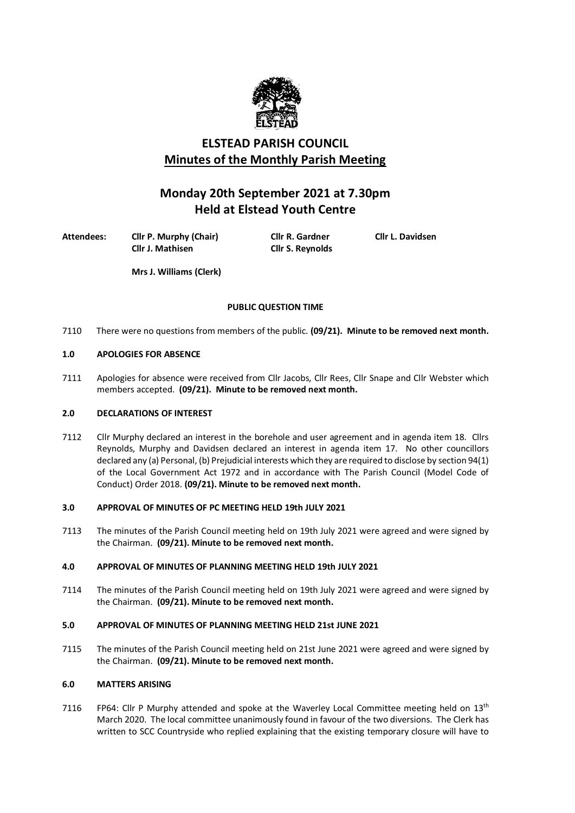

# **ELSTEAD PARISH COUNCIL Minutes of the Monthly Parish Meeting**

# **Monday 20th September 2021 at 7.30pm Held at Elstead Youth Centre**

**Attendees: Cllr P. Murphy (Chair) Cllr R. Gardner Cllr L. Davidsen**

**Cllr S. Reynolds** 

**Mrs J. Williams (Clerk)**

# **PUBLIC QUESTION TIME**

7110 There were no questions from members of the public. **(09/21). Minute to be removed next month.**

# **1.0 APOLOGIES FOR ABSENCE**

7111 Apologies for absence were received from Cllr Jacobs, Cllr Rees, Cllr Snape and Cllr Webster which members accepted. **(09/21). Minute to be removed next month.**

# **2.0 DECLARATIONS OF INTEREST**

7112 Cllr Murphy declared an interest in the borehole and user agreement and in agenda item 18. Cllrs Reynolds, Murphy and Davidsen declared an interest in agenda item 17. No other councillors declared any (a) Personal, (b) Prejudicial interests which they are required to disclose by section 94(1) of the Local Government Act 1972 and in accordance with The Parish Council (Model Code of Conduct) Order 2018. **(09/21). Minute to be removed next month.**

# **3.0 APPROVAL OF MINUTES OF PC MEETING HELD 19th JULY 2021**

7113 The minutes of the Parish Council meeting held on 19th July 2021 were agreed and were signed by the Chairman. **(09/21). Minute to be removed next month.**

# **4.0 APPROVAL OF MINUTES OF PLANNING MEETING HELD 19th JULY 2021**

7114 The minutes of the Parish Council meeting held on 19th July 2021 were agreed and were signed by the Chairman. **(09/21). Minute to be removed next month.**

# **5.0 APPROVAL OF MINUTES OF PLANNING MEETING HELD 21st JUNE 2021**

7115 The minutes of the Parish Council meeting held on 21st June 2021 were agreed and were signed by the Chairman. **(09/21). Minute to be removed next month.**

# **6.0 MATTERS ARISING**

7116 FP64: Cllr P Murphy attended and spoke at the Waverley Local Committee meeting held on  $13<sup>th</sup>$ March 2020. The local committee unanimously found in favour of the two diversions. The Clerk has written to SCC Countryside who replied explaining that the existing temporary closure will have to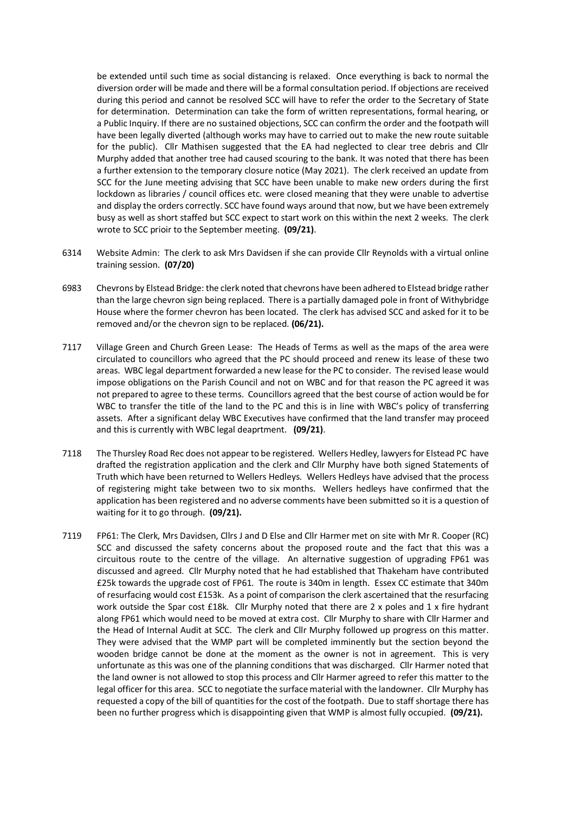be extended until such time as social distancing is relaxed. Once everything is back to normal the diversion order will be made and there will be a formal consultation period. If objections are received during this period and cannot be resolved SCC will have to refer the order to the Secretary of State for determination. Determination can take the form of written representations, formal hearing, or a Public Inquiry. If there are no sustained objections, SCC can confirm the order and the footpath will have been legally diverted (although works may have to carried out to make the new route suitable for the public). Cllr Mathisen suggested that the EA had neglected to clear tree debris and Cllr Murphy added that another tree had caused scouring to the bank. It was noted that there has been a further extension to the temporary closure notice (May 2021). The clerk received an update from SCC for the June meeting advising that SCC have been unable to make new orders during the first lockdown as libraries / council offices etc. were closed meaning that they were unable to advertise and display the orders correctly. SCC have found ways around that now, but we have been extremely busy as well as short staffed but SCC expect to start work on this within the next 2 weeks. The clerk wrote to SCC prioir to the September meeting. **(09/21)**.

- 6314 Website Admin: The clerk to ask Mrs Davidsen if she can provide Cllr Reynolds with a virtual online training session. **(07/20)**
- 6983 Chevrons by Elstead Bridge: the clerk noted that chevrons have been adhered to Elstead bridge rather than the large chevron sign being replaced. There is a partially damaged pole in front of Withybridge House where the former chevron has been located. The clerk has advised SCC and asked for it to be removed and/or the chevron sign to be replaced. **(06/21).**
- 7117 Village Green and Church Green Lease: The Heads of Terms as well as the maps of the area were circulated to councillors who agreed that the PC should proceed and renew its lease of these two areas. WBC legal department forwarded a new lease for the PC to consider. The revised lease would impose obligations on the Parish Council and not on WBC and for that reason the PC agreed it was not prepared to agree to these terms. Councillors agreed that the best course of action would be for WBC to transfer the title of the land to the PC and this is in line with WBC's policy of transferring assets. After a significant delay WBC Executives have confirmed that the land transfer may proceed and this is currently with WBC legal deaprtment. **(09/21)**.
- 7118 The Thursley Road Rec does not appear to be registered. Wellers Hedley, lawyers for Elstead PC have drafted the registration application and the clerk and Cllr Murphy have both signed Statements of Truth which have been returned to Wellers Hedleys. Wellers Hedleys have advised that the process of registering might take between two to six months. Wellers hedleys have confirmed that the application has been registered and no adverse comments have been submitted so it is a question of waiting for it to go through. **(09/21).**
- 7119 FP61: The Clerk, Mrs Davidsen, Cllrs J and D Else and Cllr Harmer met on site with Mr R. Cooper (RC) SCC and discussed the safety concerns about the proposed route and the fact that this was a circuitous route to the centre of the village. An alternative suggestion of upgrading FP61 was discussed and agreed. Cllr Murphy noted that he had established that Thakeham have contributed £25k towards the upgrade cost of FP61. The route is 340m in length. Essex CC estimate that 340m of resurfacing would cost £153k. As a point of comparison the clerk ascertained that the resurfacing work outside the Spar cost £18k. Cllr Murphy noted that there are 2 x poles and 1 x fire hydrant along FP61 which would need to be moved at extra cost. Cllr Murphy to share with Cllr Harmer and the Head of Internal Audit at SCC. The clerk and Cllr Murphy followed up progress on this matter. They were advised that the WMP part will be completed imminently but the section beyond the wooden bridge cannot be done at the moment as the owner is not in agreement. This is very unfortunate as this was one of the planning conditions that was discharged. Cllr Harmer noted that the land owner is not allowed to stop this process and Cllr Harmer agreed to refer this matter to the legal officer for this area. SCC to negotiate the surface material with the landowner. Cllr Murphy has requested a copy of the bill of quantities for the cost of the footpath. Due to staff shortage there has been no further progress which is disappointing given that WMP is almost fully occupied. **(09/21).**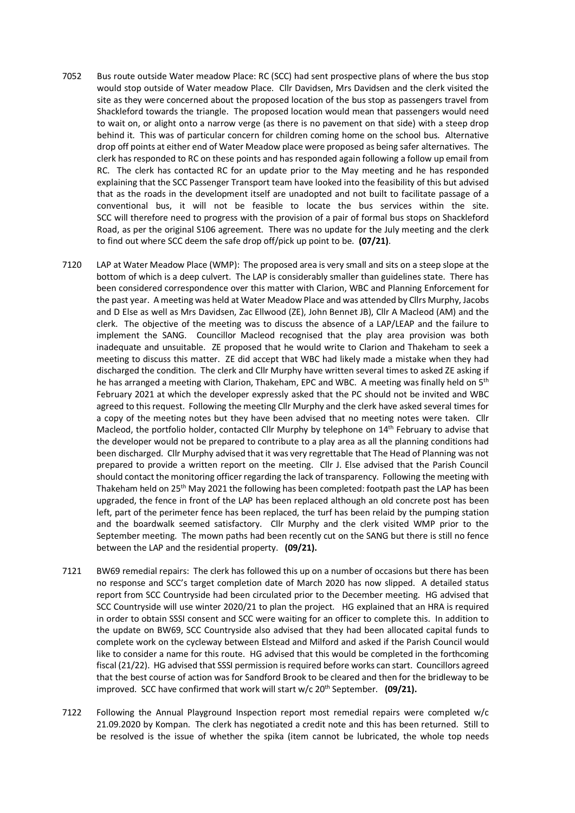- 7052 Bus route outside Water meadow Place: RC (SCC) had sent prospective plans of where the bus stop would stop outside of Water meadow Place. Cllr Davidsen, Mrs Davidsen and the clerk visited the site as they were concerned about the proposed location of the bus stop as passengers travel from Shackleford towards the triangle. The proposed location would mean that passengers would need to wait on, or alight onto a narrow verge (as there is no pavement on that side) with a steep drop behind it. This was of particular concern for children coming home on the school bus. Alternative drop off points at either end of Water Meadow place were proposed as being safer alternatives. The clerk has responded to RC on these points and has responded again following a follow up email from RC. The clerk has contacted RC for an update prior to the May meeting and he has responded explaining that the SCC Passenger Transport team have looked into the feasibility of this but advised that as the roads in the development itself are unadopted and not built to facilitate passage of a conventional bus, it will not be feasible to locate the bus services within the site. SCC will therefore need to progress with the provision of a pair of formal bus stops on Shackleford Road, as per the original S106 agreement. There was no update for the July meeting and the clerk to find out where SCC deem the safe drop off/pick up point to be. **(07/21)**.
- 7120 LAP at Water Meadow Place (WMP): The proposed area is very small and sits on a steep slope at the bottom of which is a deep culvert. The LAP is considerably smaller than guidelines state. There has been considered correspondence over this matter with Clarion, WBC and Planning Enforcement for the past year. A meeting was held at Water Meadow Place and was attended by Cllrs Murphy, Jacobs and D Else as well as Mrs Davidsen, Zac Ellwood (ZE), John Bennet JB), Cllr A Macleod (AM) and the clerk. The objective of the meeting was to discuss the absence of a LAP/LEAP and the failure to implement the SANG. Councillor Macleod recognised that the play area provision was both inadequate and unsuitable. ZE proposed that he would write to Clarion and Thakeham to seek a meeting to discuss this matter. ZE did accept that WBC had likely made a mistake when they had discharged the condition. The clerk and Cllr Murphy have written several times to asked ZE asking if he has arranged a meeting with Clarion, Thakeham, EPC and WBC. A meeting was finally held on 5<sup>th</sup> February 2021 at which the developer expressly asked that the PC should not be invited and WBC agreed to this request. Following the meeting Cllr Murphy and the clerk have asked several times for a copy of the meeting notes but they have been advised that no meeting notes were taken. Cllr Macleod, the portfolio holder, contacted Cllr Murphy by telephone on 14th February to advise that the developer would not be prepared to contribute to a play area as all the planning conditions had been discharged. Cllr Murphy advised that it was very regrettable that The Head of Planning was not prepared to provide a written report on the meeting. Cllr J. Else advised that the Parish Council should contact the monitoring officer regarding the lack of transparency. Following the meeting with Thakeham held on 25<sup>th</sup> May 2021 the following has been completed: footpath past the LAP has been upgraded, the fence in front of the LAP has been replaced although an old concrete post has been left, part of the perimeter fence has been replaced, the turf has been relaid by the pumping station and the boardwalk seemed satisfactory. Cllr Murphy and the clerk visited WMP prior to the September meeting. The mown paths had been recently cut on the SANG but there is still no fence between the LAP and the residential property. **(09/21).**
- 7121 BW69 remedial repairs: The clerk has followed this up on a number of occasions but there has been no response and SCC's target completion date of March 2020 has now slipped. A detailed status report from SCC Countryside had been circulated prior to the December meeting. HG advised that SCC Countryside will use winter 2020/21 to plan the project. HG explained that an HRA is required in order to obtain SSSI consent and SCC were waiting for an officer to complete this. In addition to the update on BW69, SCC Countryside also advised that they had been allocated capital funds to complete work on the cycleway between Elstead and Milford and asked if the Parish Council would like to consider a name for this route. HG advised that this would be completed in the forthcoming fiscal (21/22). HG advised that SSSI permission is required before works can start. Councillors agreed that the best course of action was for Sandford Brook to be cleared and then for the bridleway to be improved. SCC have confirmed that work will start w/c 20<sup>th</sup> September. (09/21).
- 7122 Following the Annual Playground Inspection report most remedial repairs were completed w/c 21.09.2020 by Kompan. The clerk has negotiated a credit note and this has been returned. Still to be resolved is the issue of whether the spika (item cannot be lubricated, the whole top needs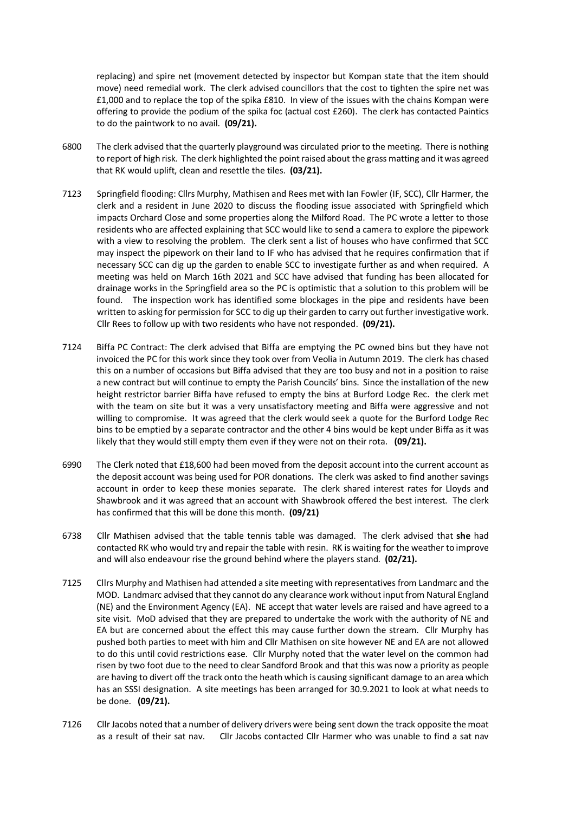replacing) and spire net (movement detected by inspector but Kompan state that the item should move) need remedial work. The clerk advised councillors that the cost to tighten the spire net was £1,000 and to replace the top of the spika £810. In view of the issues with the chains Kompan were offering to provide the podium of the spika foc (actual cost £260). The clerk has contacted Paintics to do the paintwork to no avail. **(09/21).** 

- 6800 The clerk advised that the quarterly playground was circulated prior to the meeting. There is nothing to report of high risk. The clerk highlighted the point raised about the grass matting and it was agreed that RK would uplift, clean and resettle the tiles. **(03/21).**
- 7123 Springfield flooding: Cllrs Murphy, Mathisen and Rees met with Ian Fowler (IF, SCC), Cllr Harmer, the clerk and a resident in June 2020 to discuss the flooding issue associated with Springfield which impacts Orchard Close and some properties along the Milford Road. The PC wrote a letter to those residents who are affected explaining that SCC would like to send a camera to explore the pipework with a view to resolving the problem. The clerk sent a list of houses who have confirmed that SCC may inspect the pipework on their land to IF who has advised that he requires confirmation that if necessary SCC can dig up the garden to enable SCC to investigate further as and when required. A meeting was held on March 16th 2021 and SCC have advised that funding has been allocated for drainage works in the Springfield area so the PC is optimistic that a solution to this problem will be found. The inspection work has identified some blockages in the pipe and residents have been written to asking for permission for SCC to dig up their garden to carry out further investigative work. Cllr Rees to follow up with two residents who have not responded. **(09/21).**
- 7124 Biffa PC Contract: The clerk advised that Biffa are emptying the PC owned bins but they have not invoiced the PC for this work since they took over from Veolia in Autumn 2019. The clerk has chased this on a number of occasions but Biffa advised that they are too busy and not in a position to raise a new contract but will continue to empty the Parish Councils' bins. Since the installation of the new height restrictor barrier Biffa have refused to empty the bins at Burford Lodge Rec. the clerk met with the team on site but it was a very unsatisfactory meeting and Biffa were aggressive and not willing to compromise. It was agreed that the clerk would seek a quote for the Burford Lodge Rec bins to be emptied by a separate contractor and the other 4 bins would be kept under Biffa as it was likely that they would still empty them even if they were not on their rota. **(09/21).**
- 6990 The Clerk noted that £18,600 had been moved from the deposit account into the current account as the deposit account was being used for POR donations. The clerk was asked to find another savings account in order to keep these monies separate. The clerk shared interest rates for Lloyds and Shawbrook and it was agreed that an account with Shawbrook offered the best interest. The clerk has confirmed that this will be done this month. **(09/21)**
- 6738 Cllr Mathisen advised that the table tennis table was damaged. The clerk advised that **she** had contacted RK who would try and repair the table with resin. RK is waiting for the weather to improve and will also endeavour rise the ground behind where the players stand. **(02/21).**
- 7125 Cllrs Murphy and Mathisen had attended a site meeting with representatives from Landmarc and the MOD. Landmarc advised that they cannot do any clearance work without input from Natural England (NE) and the Environment Agency (EA). NE accept that water levels are raised and have agreed to a site visit. MoD advised that they are prepared to undertake the work with the authority of NE and EA but are concerned about the effect this may cause further down the stream. Cllr Murphy has pushed both parties to meet with him and Cllr Mathisen on site however NE and EA are not allowed to do this until covid restrictions ease. Cllr Murphy noted that the water level on the common had risen by two foot due to the need to clear Sandford Brook and that this was now a priority as people are having to divert off the track onto the heath which is causing significant damage to an area which has an SSSI designation. A site meetings has been arranged for 30.9.2021 to look at what needs to be done. **(09/21).**
- 7126 Cllr Jacobs noted that a number of delivery drivers were being sent down the track opposite the moat as a result of their sat nav. Cllr Jacobs contacted Cllr Harmer who was unable to find a sat nav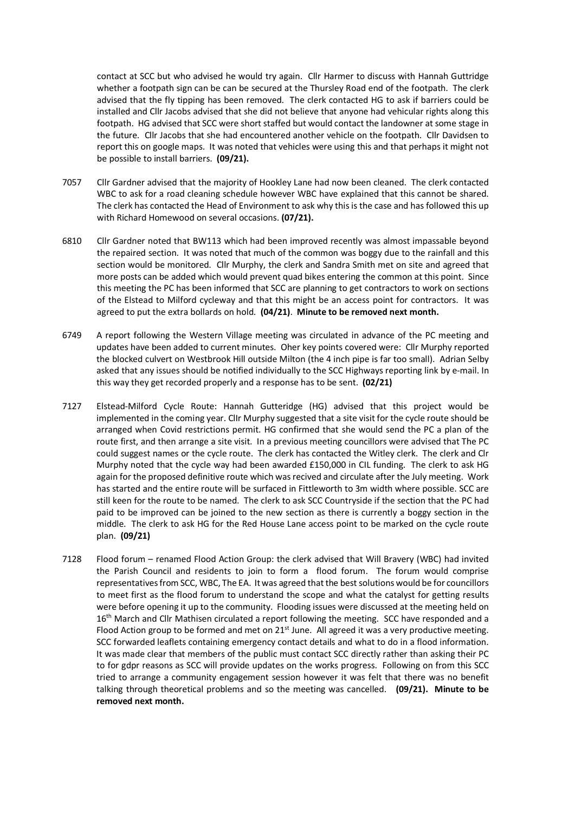contact at SCC but who advised he would try again. Cllr Harmer to discuss with Hannah Guttridge whether a footpath sign can be can be secured at the Thursley Road end of the footpath. The clerk advised that the fly tipping has been removed. The clerk contacted HG to ask if barriers could be installed and Cllr Jacobs advised that she did not believe that anyone had vehicular rights along this footpath. HG advised that SCC were short staffed but would contact the landowner at some stage in the future. Cllr Jacobs that she had encountered another vehicle on the footpath. Cllr Davidsen to report this on google maps. It was noted that vehicles were using this and that perhaps it might not be possible to install barriers. **(09/21).**

- 7057 Cllr Gardner advised that the majority of Hookley Lane had now been cleaned. The clerk contacted WBC to ask for a road cleaning schedule however WBC have explained that this cannot be shared. The clerk has contacted the Head of Environment to ask why this is the case and has followed this up with Richard Homewood on several occasions. **(07/21).**
- 6810 Cllr Gardner noted that BW113 which had been improved recently was almost impassable beyond the repaired section. It was noted that much of the common was boggy due to the rainfall and this section would be monitored. Cllr Murphy, the clerk and Sandra Smith met on site and agreed that more posts can be added which would prevent quad bikes entering the common at this point. Since this meeting the PC has been informed that SCC are planning to get contractors to work on sections of the Elstead to Milford cycleway and that this might be an access point for contractors. It was agreed to put the extra bollards on hold. **(04/21)**. **Minute to be removed next month.**
- 6749 A report following the Western Village meeting was circulated in advance of the PC meeting and updates have been added to current minutes. Oher key points covered were: Cllr Murphy reported the blocked culvert on Westbrook Hill outside Milton (the 4 inch pipe is far too small). Adrian Selby asked that any issues should be notified individually to the SCC Highways reporting link by e-mail. In this way they get recorded properly and a response has to be sent. **(02/21)**
- 7127 Elstead-Milford Cycle Route: Hannah Gutteridge (HG) advised that this project would be implemented in the coming year. ClIr Murphy suggested that a site visit for the cycle route should be arranged when Covid restrictions permit. HG confirmed that she would send the PC a plan of the route first, and then arrange a site visit. In a previous meeting councillors were advised that The PC could suggest names or the cycle route. The clerk has contacted the Witley clerk. The clerk and Clr Murphy noted that the cycle way had been awarded £150,000 in CIL funding. The clerk to ask HG again for the proposed definitive route which was recived and circulate after the July meeting. Work has started and the entire route will be surfaced in Fittleworth to 3m width where possible. SCC are still keen for the route to be named. The clerk to ask SCC Countryside if the section that the PC had paid to be improved can be joined to the new section as there is currently a boggy section in the middle. The clerk to ask HG for the Red House Lane access point to be marked on the cycle route plan. **(09/21)**
- 7128 Flood forum renamed Flood Action Group: the clerk advised that Will Bravery (WBC) had invited the Parish Council and residents to join to form a flood forum. The forum would comprise representatives from SCC, WBC, The EA. It was agreed that the best solutions would be for councillors to meet first as the flood forum to understand the scope and what the catalyst for getting results were before opening it up to the community. Flooding issues were discussed at the meeting held on 16<sup>th</sup> March and Cllr Mathisen circulated a report following the meeting. SCC have responded and a Flood Action group to be formed and met on  $21<sup>st</sup>$  June. All agreed it was a very productive meeting. SCC forwarded leaflets containing emergency contact details and what to do in a flood information. It was made clear that members of the public must contact SCC directly rather than asking their PC to for gdpr reasons as SCC will provide updates on the works progress. Following on from this SCC tried to arrange a community engagement session however it was felt that there was no benefit talking through theoretical problems and so the meeting was cancelled. **(09/21). Minute to be removed next month.**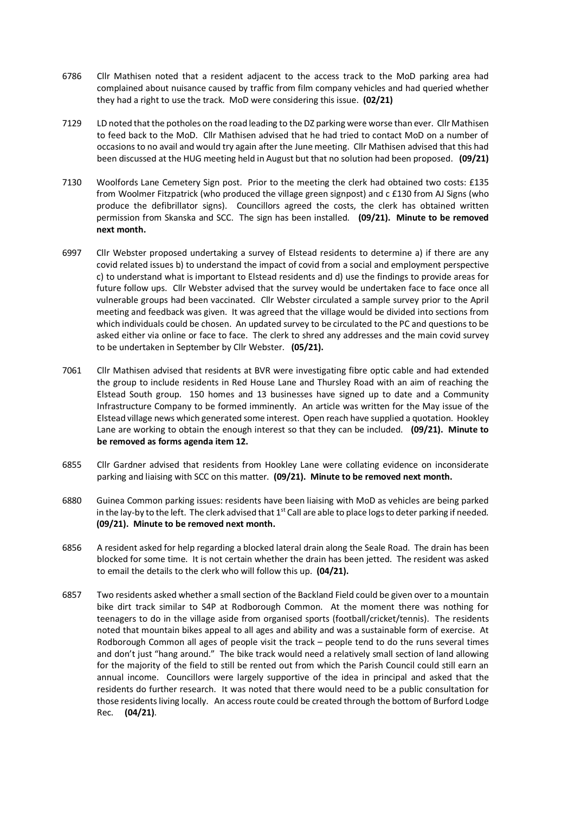- 6786 Cllr Mathisen noted that a resident adjacent to the access track to the MoD parking area had complained about nuisance caused by traffic from film company vehicles and had queried whether they had a right to use the track. MoD were considering this issue. **(02/21)**
- 7129 LD noted that the potholes on the road leading to the DZ parking were worse than ever. Cllr Mathisen to feed back to the MoD. Cllr Mathisen advised that he had tried to contact MoD on a number of occasions to no avail and would try again after the June meeting. Cllr Mathisen advised that this had been discussed at the HUG meeting held in August but that no solution had been proposed. **(09/21)**
- 7130 Woolfords Lane Cemetery Sign post. Prior to the meeting the clerk had obtained two costs: £135 from Woolmer Fitzpatrick (who produced the village green signpost) and c £130 from AJ Signs (who produce the defibrillator signs). Councillors agreed the costs, the clerk has obtained written permission from Skanska and SCC. The sign has been installed. **(09/21). Minute to be removed next month.**
- 6997 Cllr Webster proposed undertaking a survey of Elstead residents to determine a) if there are any covid related issues b) to understand the impact of covid from a social and employment perspective c) to understand what is important to Elstead residents and d) use the findings to provide areas for future follow ups. Cllr Webster advised that the survey would be undertaken face to face once all vulnerable groups had been vaccinated. Cllr Webster circulated a sample survey prior to the April meeting and feedback was given. It was agreed that the village would be divided into sections from which individuals could be chosen. An updated survey to be circulated to the PC and questions to be asked either via online or face to face. The clerk to shred any addresses and the main covid survey to be undertaken in September by Cllr Webster. **(05/21).**
- 7061 Cllr Mathisen advised that residents at BVR were investigating fibre optic cable and had extended the group to include residents in Red House Lane and Thursley Road with an aim of reaching the Elstead South group. 150 homes and 13 businesses have signed up to date and a Community Infrastructure Company to be formed imminently. An article was written for the May issue of the Elstead village news which generated some interest. Open reach have supplied a quotation. Hookley Lane are working to obtain the enough interest so that they can be included. **(09/21). Minute to be removed as forms agenda item 12.**
- 6855 Cllr Gardner advised that residents from Hookley Lane were collating evidence on inconsiderate parking and liaising with SCC on this matter. **(09/21). Minute to be removed next month.**
- 6880 Guinea Common parking issues: residents have been liaising with MoD as vehicles are being parked in the lay-by to the left. The clerk advised that  $1<sup>st</sup>$  Call are able to place logs to deter parking if needed. **(09/21). Minute to be removed next month.**
- 6856 A resident asked for help regarding a blocked lateral drain along the Seale Road. The drain has been blocked for some time. It is not certain whether the drain has been jetted. The resident was asked to email the details to the clerk who will follow this up. **(04/21).**
- 6857 Two residents asked whether a small section of the Backland Field could be given over to a mountain bike dirt track similar to S4P at Rodborough Common. At the moment there was nothing for teenagers to do in the village aside from organised sports (football/cricket/tennis). The residents noted that mountain bikes appeal to all ages and ability and was a sustainable form of exercise. At Rodborough Common all ages of people visit the track – people tend to do the runs several times and don't just "hang around." The bike track would need a relatively small section of land allowing for the majority of the field to still be rented out from which the Parish Council could still earn an annual income. Councillors were largely supportive of the idea in principal and asked that the residents do further research. It was noted that there would need to be a public consultation for those residents living locally. An access route could be created through the bottom of Burford Lodge Rec. **(04/21)**.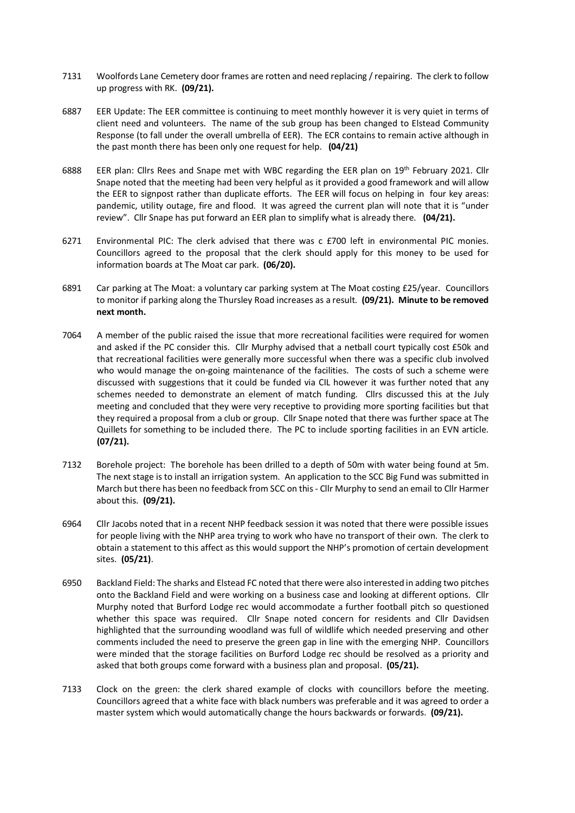- 7131 Woolfords Lane Cemetery door frames are rotten and need replacing / repairing. The clerk to follow up progress with RK. **(09/21).**
- 6887 EER Update: The EER committee is continuing to meet monthly however it is very quiet in terms of client need and volunteers. The name of the sub group has been changed to Elstead Community Response (to fall under the overall umbrella of EER). The ECR contains to remain active although in the past month there has been only one request for help. **(04/21)**
- 6888 EER plan: Cllrs Rees and Snape met with WBC regarding the EER plan on 19th February 2021. Cllr Snape noted that the meeting had been very helpful as it provided a good framework and will allow the EER to signpost rather than duplicate efforts. The EER will focus on helping in four key areas: pandemic, utility outage, fire and flood. It was agreed the current plan will note that it is "under review". Cllr Snape has put forward an EER plan to simplify what is already there. **(04/21).**
- 6271 Environmental PIC: The clerk advised that there was c £700 left in environmental PIC monies. Councillors agreed to the proposal that the clerk should apply for this money to be used for information boards at The Moat car park. **(06/20).**
- 6891 Car parking at The Moat: a voluntary car parking system at The Moat costing £25/year. Councillors to monitor if parking along the Thursley Road increases as a result. **(09/21). Minute to be removed next month.**
- 7064 A member of the public raised the issue that more recreational facilities were required for women and asked if the PC consider this. Cllr Murphy advised that a netball court typically cost £50k and that recreational facilities were generally more successful when there was a specific club involved who would manage the on-going maintenance of the facilities. The costs of such a scheme were discussed with suggestions that it could be funded via CIL however it was further noted that any schemes needed to demonstrate an element of match funding. Cllrs discussed this at the July meeting and concluded that they were very receptive to providing more sporting facilities but that they required a proposal from a club or group. Cllr Snape noted that there was further space at The Quillets for something to be included there. The PC to include sporting facilities in an EVN article. **(07/21).**
- 7132 Borehole project: The borehole has been drilled to a depth of 50m with water being found at 5m. The next stage is to install an irrigation system. An application to the SCC Big Fund was submitted in March but there has been no feedback from SCC on this- Cllr Murphy to send an email to Cllr Harmer about this. **(09/21).**
- 6964 Cllr Jacobs noted that in a recent NHP feedback session it was noted that there were possible issues for people living with the NHP area trying to work who have no transport of their own. The clerk to obtain a statement to this affect as this would support the NHP's promotion of certain development sites. **(05/21)**.
- 6950 Backland Field: The sharks and Elstead FC noted that there were also interested in adding two pitches onto the Backland Field and were working on a business case and looking at different options. Cllr Murphy noted that Burford Lodge rec would accommodate a further football pitch so questioned whether this space was required. Cllr Snape noted concern for residents and Cllr Davidsen highlighted that the surrounding woodland was full of wildlife which needed preserving and other comments included the need to preserve the green gap in line with the emerging NHP. Councillors were minded that the storage facilities on Burford Lodge rec should be resolved as a priority and asked that both groups come forward with a business plan and proposal. **(05/21).**
- 7133 Clock on the green: the clerk shared example of clocks with councillors before the meeting. Councillors agreed that a white face with black numbers was preferable and it was agreed to order a master system which would automatically change the hours backwards or forwards. **(09/21).**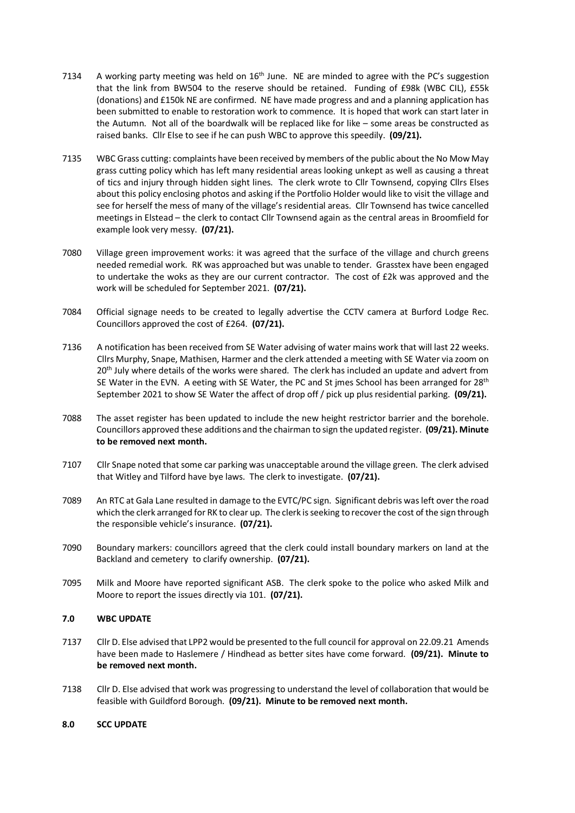- 7134 A working party meeting was held on  $16<sup>th</sup>$  June. NE are minded to agree with the PC's suggestion that the link from BW504 to the reserve should be retained. Funding of £98k (WBC CIL), £55k (donations) and £150k NE are confirmed. NE have made progress and and a planning application has been submitted to enable to restoration work to commence. It is hoped that work can start later in the Autumn. Not all of the boardwalk will be replaced like for like – some areas be constructed as raised banks. Cllr Else to see if he can push WBC to approve this speedily. **(09/21).**
- 7135 WBC Grass cutting: complaints have been received by members of the public about the No Mow May grass cutting policy which has left many residential areas looking unkept as well as causing a threat of tics and injury through hidden sight lines. The clerk wrote to Cllr Townsend, copying Cllrs Elses about this policy enclosing photos and asking if the Portfolio Holder would like to visit the village and see for herself the mess of many of the village's residential areas. Cllr Townsend has twice cancelled meetings in Elstead – the clerk to contact Cllr Townsend again as the central areas in Broomfield for example look very messy. **(07/21).**
- 7080 Village green improvement works: it was agreed that the surface of the village and church greens needed remedial work. RK was approached but was unable to tender. Grasstex have been engaged to undertake the woks as they are our current contractor. The cost of £2k was approved and the work will be scheduled for September 2021. **(07/21).**
- 7084 Official signage needs to be created to legally advertise the CCTV camera at Burford Lodge Rec. Councillors approved the cost of £264. **(07/21).**
- 7136 A notification has been received from SE Water advising of water mains work that will last 22 weeks. Cllrs Murphy, Snape, Mathisen, Harmer and the clerk attended a meeting with SE Water via zoom on 20<sup>th</sup> July where details of the works were shared. The clerk has included an update and advert from SE Water in the EVN. A eeting with SE Water, the PC and St jmes School has been arranged for  $28<sup>th</sup>$ September 2021 to show SE Water the affect of drop off / pick up plus residential parking. **(09/21).**
- 7088 The asset register has been updated to include the new height restrictor barrier and the borehole. Councillors approved these additions and the chairman to sign the updated register. **(09/21). Minute to be removed next month.**
- 7107 Cllr Snape noted that some car parking was unacceptable around the village green. The clerk advised that Witley and Tilford have bye laws. The clerk to investigate. **(07/21).**
- 7089 An RTC at Gala Lane resulted in damage to the EVTC/PC sign. Significant debris was left over the road which the clerk arranged for RK to clear up. The clerk is seeking to recover the cost of the sign through the responsible vehicle's insurance. **(07/21).**
- 7090 Boundary markers: councillors agreed that the clerk could install boundary markers on land at the Backland and cemetery to clarify ownership. **(07/21).**
- 7095 Milk and Moore have reported significant ASB. The clerk spoke to the police who asked Milk and Moore to report the issues directly via 101. **(07/21).**

# **7.0 WBC UPDATE**

- 7137 Cllr D. Else advised that LPP2 would be presented to the full council for approval on 22.09.21 Amends have been made to Haslemere / Hindhead as better sites have come forward. **(09/21). Minute to be removed next month.**
- 7138 Cllr D. Else advised that work was progressing to understand the level of collaboration that would be feasible with Guildford Borough. **(09/21). Minute to be removed next month.**

#### **8.0 SCC UPDATE**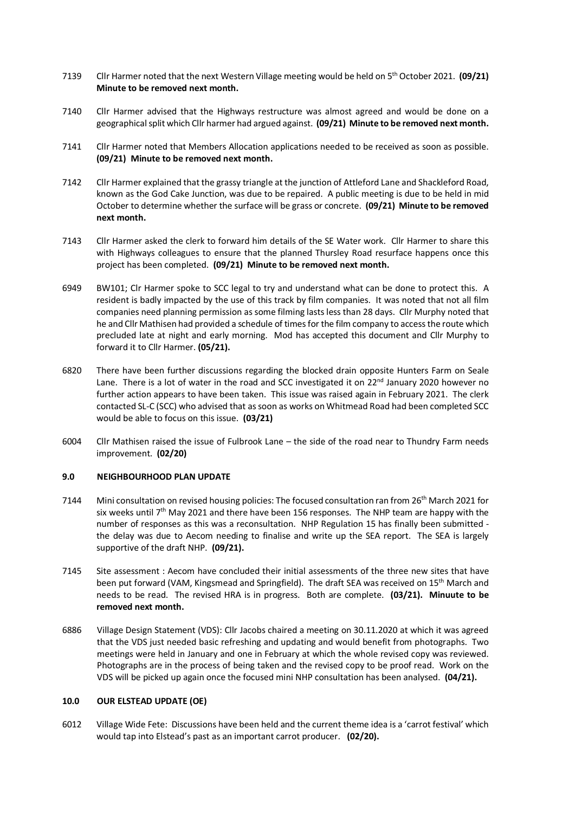- 7139 Cllr Harmer noted that the next Western Village meeting would be held on 5th October 2021. **(09/21) Minute to be removed next month.**
- 7140 Cllr Harmer advised that the Highways restructure was almost agreed and would be done on a geographical split which Cllr harmer had argued against. **(09/21) Minute to be removed next month.**
- 7141 Cllr Harmer noted that Members Allocation applications needed to be received as soon as possible. **(09/21) Minute to be removed next month.**
- 7142 Cllr Harmer explained that the grassy triangle at the junction of Attleford Lane and Shackleford Road, known as the God Cake Junction, was due to be repaired. A public meeting is due to be held in mid October to determine whether the surface will be grass or concrete. **(09/21) Minute to be removed next month.**
- 7143 Cllr Harmer asked the clerk to forward him details of the SE Water work. Cllr Harmer to share this with Highways colleagues to ensure that the planned Thursley Road resurface happens once this project has been completed. **(09/21) Minute to be removed next month.**
- 6949 BW101; Clr Harmer spoke to SCC legal to try and understand what can be done to protect this. A resident is badly impacted by the use of this track by film companies. It was noted that not all film companies need planning permission as some filming lasts less than 28 days. Cllr Murphy noted that he and Cllr Mathisen had provided a schedule of times for the film company to access the route which precluded late at night and early morning. Mod has accepted this document and Cllr Murphy to forward it to Cllr Harmer. **(05/21).**
- 6820 There have been further discussions regarding the blocked drain opposite Hunters Farm on Seale Lane. There is a lot of water in the road and SCC investigated it on  $22^{nd}$  January 2020 however no further action appears to have been taken. This issue was raised again in February 2021. The clerk contacted SL-C (SCC) who advised that as soon as works on Whitmead Road had been completed SCC would be able to focus on this issue. **(03/21)**
- 6004 Cllr Mathisen raised the issue of Fulbrook Lane the side of the road near to Thundry Farm needs improvement. **(02/20)**

#### **9.0 NEIGHBOURHOOD PLAN UPDATE**

- 7144 Mini consultation on revised housing policies: The focused consultation ran from 26<sup>th</sup> March 2021 for six weeks until  $7<sup>th</sup>$  May 2021 and there have been 156 responses. The NHP team are happy with the number of responses as this was a reconsultation. NHP Regulation 15 has finally been submitted the delay was due to Aecom needing to finalise and write up the SEA report. The SEA is largely supportive of the draft NHP. **(09/21).**
- 7145 Site assessment : Aecom have concluded their initial assessments of the three new sites that have been put forward (VAM, Kingsmead and Springfield). The draft SEA was received on 15<sup>th</sup> March and needs to be read. The revised HRA is in progress. Both are complete. **(03/21). Minuute to be removed next month.**
- 6886 Village Design Statement (VDS): Cllr Jacobs chaired a meeting on 30.11.2020 at which it was agreed that the VDS just needed basic refreshing and updating and would benefit from photographs. Two meetings were held in January and one in February at which the whole revised copy was reviewed. Photographs are in the process of being taken and the revised copy to be proof read. Work on the VDS will be picked up again once the focused mini NHP consultation has been analysed. **(04/21).**

#### **10.0 OUR ELSTEAD UPDATE (OE)**

6012 Village Wide Fete: Discussions have been held and the current theme idea is a 'carrot festival' which would tap into Elstead's past as an important carrot producer. **(02/20).**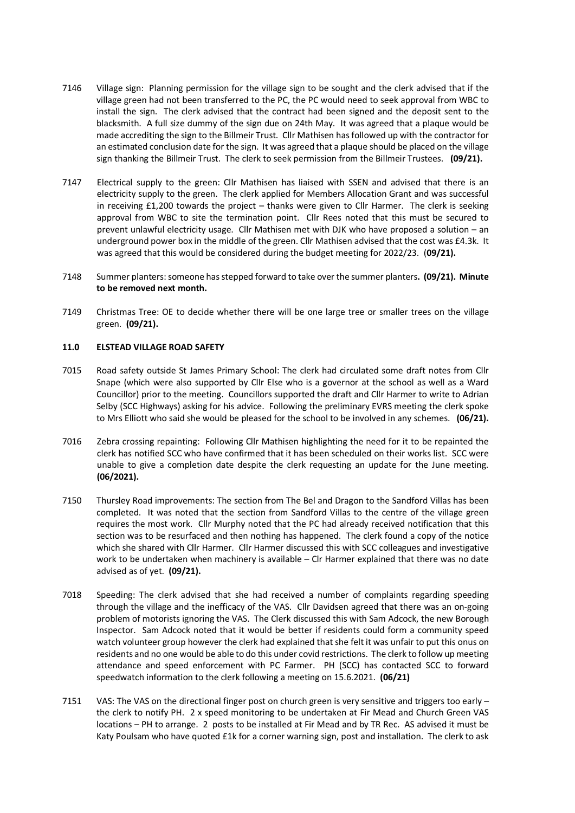- 7146 Village sign: Planning permission for the village sign to be sought and the clerk advised that if the village green had not been transferred to the PC, the PC would need to seek approval from WBC to install the sign. The clerk advised that the contract had been signed and the deposit sent to the blacksmith. A full size dummy of the sign due on 24th May. It was agreed that a plaque would be made accrediting the sign to the Billmeir Trust. Cllr Mathisen has followed up with the contractor for an estimated conclusion date for the sign. It was agreed that a plaque should be placed on the village sign thanking the Billmeir Trust. The clerk to seek permission from the Billmeir Trustees. **(09/21).**
- 7147 Electrical supply to the green: Cllr Mathisen has liaised with SSEN and advised that there is an electricity supply to the green. The clerk applied for Members Allocation Grant and was successful in receiving £1,200 towards the project – thanks were given to Cllr Harmer. The clerk is seeking approval from WBC to site the termination point. Cllr Rees noted that this must be secured to prevent unlawful electricity usage. Cllr Mathisen met with DJK who have proposed a solution – an underground power box in the middle of the green. Cllr Mathisen advised that the cost was £4.3k. It was agreed that this would be considered during the budget meeting for 2022/23. (**09/21).**
- 7148 Summer planters: someone has stepped forward to take over the summer planters**. (09/21). Minute to be removed next month.**
- 7149 Christmas Tree: OE to decide whether there will be one large tree or smaller trees on the village green. **(09/21).**

#### **11.0 ELSTEAD VILLAGE ROAD SAFETY**

- 7015 Road safety outside St James Primary School: The clerk had circulated some draft notes from Cllr Snape (which were also supported by Cllr Else who is a governor at the school as well as a Ward Councillor) prior to the meeting. Councillors supported the draft and Cllr Harmer to write to Adrian Selby (SCC Highways) asking for his advice. Following the preliminary EVRS meeting the clerk spoke to Mrs Elliott who said she would be pleased for the school to be involved in any schemes. **(06/21).**
- 7016 Zebra crossing repainting: Following Cllr Mathisen highlighting the need for it to be repainted the clerk has notified SCC who have confirmed that it has been scheduled on their works list. SCC were unable to give a completion date despite the clerk requesting an update for the June meeting. **(06/2021).**
- 7150 Thursley Road improvements: The section from The Bel and Dragon to the Sandford Villas has been completed. It was noted that the section from Sandford Villas to the centre of the village green requires the most work. Cllr Murphy noted that the PC had already received notification that this section was to be resurfaced and then nothing has happened. The clerk found a copy of the notice which she shared with Cllr Harmer. Cllr Harmer discussed this with SCC colleagues and investigative work to be undertaken when machinery is available – Clr Harmer explained that there was no date advised as of yet. **(09/21).**
- 7018 Speeding: The clerk advised that she had received a number of complaints regarding speeding through the village and the inefficacy of the VAS. Cllr Davidsen agreed that there was an on-going problem of motorists ignoring the VAS. The Clerk discussed this with Sam Adcock, the new Borough Inspector. Sam Adcock noted that it would be better if residents could form a community speed watch volunteer group however the clerk had explained that she felt it was unfair to put this onus on residents and no one would be able to do this under covid restrictions. The clerk to follow up meeting attendance and speed enforcement with PC Farmer. PH (SCC) has contacted SCC to forward speedwatch information to the clerk following a meeting on 15.6.2021. **(06/21)**
- 7151 VAS: The VAS on the directional finger post on church green is very sensitive and triggers too early the clerk to notify PH. 2 x speed monitoring to be undertaken at Fir Mead and Church Green VAS locations – PH to arrange. 2 posts to be installed at Fir Mead and by TR Rec. AS advised it must be Katy Poulsam who have quoted £1k for a corner warning sign, post and installation. The clerk to ask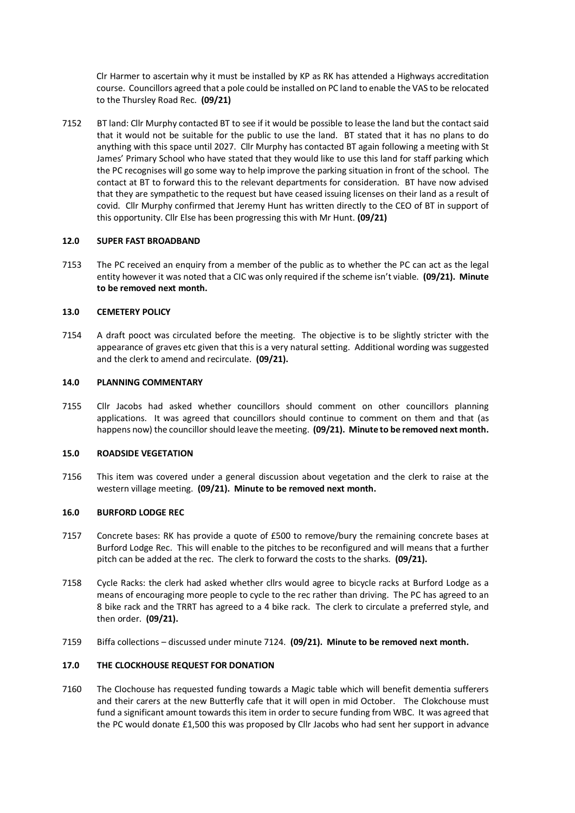Clr Harmer to ascertain why it must be installed by KP as RK has attended a Highways accreditation course. Councillors agreed that a pole could be installed on PC land to enable the VAS to be relocated to the Thursley Road Rec. **(09/21)** 

7152 BT land: Cllr Murphy contacted BT to see if it would be possible to lease the land but the contact said that it would not be suitable for the public to use the land. BT stated that it has no plans to do anything with this space until 2027. Cllr Murphy has contacted BT again following a meeting with St James' Primary School who have stated that they would like to use this land for staff parking which the PC recognises will go some way to help improve the parking situation in front of the school. The contact at BT to forward this to the relevant departments for consideration. BT have now advised that they are sympathetic to the request but have ceased issuing licenses on their land as a result of covid. Cllr Murphy confirmed that Jeremy Hunt has written directly to the CEO of BT in support of this opportunity. Cllr Else has been progressing this with Mr Hunt. **(09/21)**

#### **12.0 SUPER FAST BROADBAND**

7153 The PC received an enquiry from a member of the public as to whether the PC can act as the legal entity however it was noted that a CIC was only required if the scheme isn't viable. **(09/21). Minute to be removed next month.**

#### **13.0 CEMETERY POLICY**

7154 A draft pooct was circulated before the meeting. The objective is to be slightly stricter with the appearance of graves etc given that this is a very natural setting. Additional wording was suggested and the clerk to amend and recirculate. **(09/21).**

#### **14.0 PLANNING COMMENTARY**

7155 Cllr Jacobs had asked whether councillors should comment on other councillors planning applications. It was agreed that councillors should continue to comment on them and that (as happens now) the councillor should leave the meeting. **(09/21). Minute to be removed next month.**

# **15.0 ROADSIDE VEGETATION**

7156 This item was covered under a general discussion about vegetation and the clerk to raise at the western village meeting. **(09/21). Minute to be removed next month.**

#### **16.0 BURFORD LODGE REC**

- 7157 Concrete bases: RK has provide a quote of £500 to remove/bury the remaining concrete bases at Burford Lodge Rec. This will enable to the pitches to be reconfigured and will means that a further pitch can be added at the rec. The clerk to forward the costs to the sharks. **(09/21).**
- 7158 Cycle Racks: the clerk had asked whether cllrs would agree to bicycle racks at Burford Lodge as a means of encouraging more people to cycle to the rec rather than driving. The PC has agreed to an 8 bike rack and the TRRT has agreed to a 4 bike rack. The clerk to circulate a preferred style, and then order. **(09/21).**
- 7159 Biffa collections discussed under minute 7124. **(09/21). Minute to be removed next month.**

# **17.0 THE CLOCKHOUSE REQUEST FOR DONATION**

7160 The Clochouse has requested funding towards a Magic table which will benefit dementia sufferers and their carers at the new Butterfly cafe that it will open in mid October. The Clokchouse must fund a significant amount towards this item in order to secure funding from WBC. It was agreed that the PC would donate £1,500 this was proposed by Cllr Jacobs who had sent her support in advance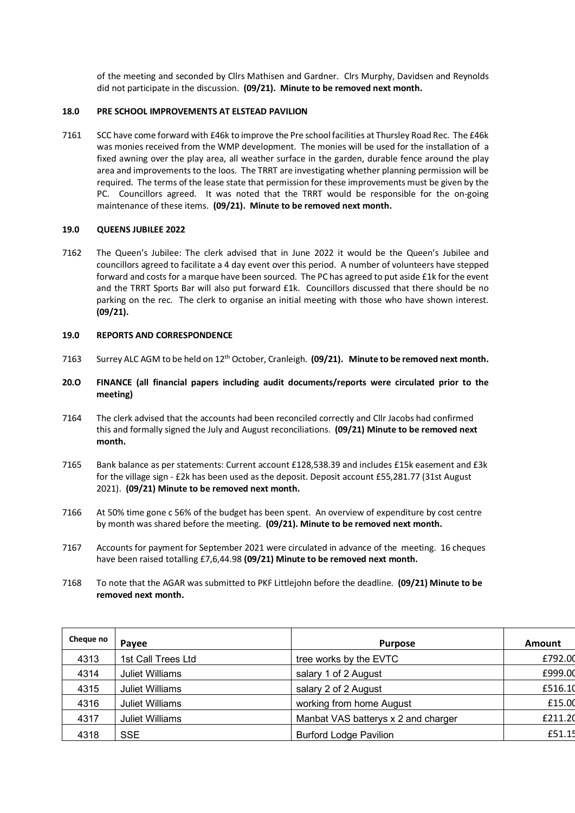of the meeting and seconded by Cllrs Mathisen and Gardner. Clrs Murphy, Davidsen and Reynolds did not participate in the discussion. **(09/21). Minute to be removed next month.** 

#### **18.0 PRE SCHOOL IMPROVEMENTS AT ELSTEAD PAVILION**

7161 SCC have come forward with £46k to improve the Pre school facilities at Thursley Road Rec. The £46k was monies received from the WMP development. The monies will be used for the installation of a fixed awning over the play area, all weather surface in the garden, durable fence around the play area and improvements to the loos. The TRRT are investigating whether planning permission will be required. The terms of the lease state that permission for these improvements must be given by the PC. Councillors agreed. It was noted that the TRRT would be responsible for the on-going maintenance of these items. **(09/21). Minute to be removed next month.**

#### **19.0 QUEENS JUBILEE 2022**

7162 The Queen's Jubilee: The clerk advised that in June 2022 it would be the Queen's Jubilee and councillors agreed to facilitate a 4 day event over this period. A number of volunteers have stepped forward and costs for a marque have been sourced. The PC has agreed to put aside £1k for the event and the TRRT Sports Bar will also put forward £1k. Councillors discussed that there should be no parking on the rec. The clerk to organise an initial meeting with those who have shown interest. **(09/21).** 

#### **19.0 REPORTS AND CORRESPONDENCE**

- 7163 Surrey ALC AGM to be held on 12<sup>th</sup> October, Cranleigh. **(09/21). Minute to be removed next month.**
- **20.O FINANCE (all financial papers including audit documents/reports were circulated prior to the meeting)**
- 7164 The clerk advised that the accounts had been reconciled correctly and Cllr Jacobs had confirmed this and formally signed the July and August reconciliations. **(09/21) Minute to be removed next month.**
- 7165 Bank balance as per statements: Current account £128,538.39 and includes £15k easement and £3k for the village sign - £2k has been used as the deposit. Deposit account £55,281.77 (31st August 2021). **(09/21) Minute to be removed next month.**
- 7166 At 50% time gone c 56% of the budget has been spent. An overview of expenditure by cost centre by month was shared before the meeting. **(09/21). Minute to be removed next month.**
- 7167 Accounts for payment for September 2021 were circulated in advance of the meeting. 16 cheques have been raised totalling £7,6,44.98 **(09/21) Minute to be removed next month.**
- 7168 To note that the AGAR was submitted to PKF Littlejohn before the deadline. **(09/21) Minute to be removed next month.**

| Cheque no | Payee                  | <b>Purpose</b>                      | Amount  |
|-----------|------------------------|-------------------------------------|---------|
| 4313      | 1st Call Trees Ltd     | tree works by the EVTC              | £792.00 |
| 4314      | <b>Juliet Williams</b> | salary 1 of 2 August                | £999.00 |
| 4315      | <b>Juliet Williams</b> | salary 2 of 2 August                | £516.10 |
| 4316      | <b>Juliet Williams</b> | working from home August            | £15.00  |
| 4317      | <b>Juliet Williams</b> | Manbat VAS batterys x 2 and charger | £211.20 |
| 4318      | <b>SSE</b>             | <b>Burford Lodge Pavilion</b>       | £51.15  |